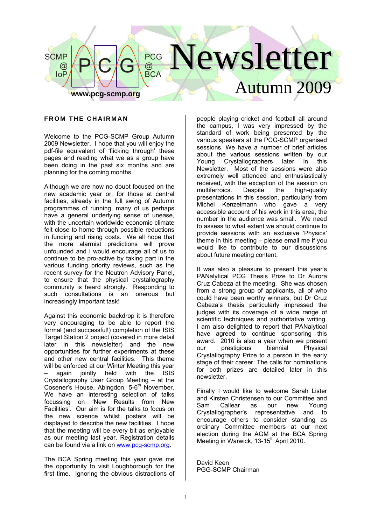

#### **FROM THE CHAIRMAN**

Welcome to the PCG-SCMP Group Autumn 2009 Newsletter. I hope that you will enjoy the pdf-file equivalent of 'flicking through' these pages and reading what we as a group have been doing in the past six months and are planning for the coming months.

Although we are now no doubt focused on the new academic year or, for those at central facilities, already in the full swing of Autumn programmes of running, many of us perhaps have a general underlying sense of unease. with the uncertain worldwide economic climate felt close to home through possible reductions in funding and rising costs. We all hope that the more alarmist predictions will prove unfounded and I would encourage all of us to continue to be pro-active by taking part in the various funding priority reviews, such as the recent survey for the Neutron Advisory Panel, to ensure that the physical crystallography community is heard strongly. Responding to such consultations is an onerous but increasingly important task!

Against this economic backdrop it is therefore very encouraging to be able to report the formal (and successful!) completion of the ISIS Target Station 2 project (covered in more detail later in this newsletter) and the new opportunities for further experiments at these and other new central facilities. This theme will be enforced at our Winter Meeting this year<br>- again jointly held with the ISIS – again jointly held with the ISIS Crystallography User Group Meeting – at the Cosener's House, Abingdon, 5-6<sup>th</sup> November. We have an interesting selection of talks focussing on 'New Results from New Facilities'. Our aim is for the talks to focus on the new science whilst posters will be displayed to describe the new facilities. I hope that the meeting will be every bit as enjoyable as our meeting last year. Registration details can be found via a link on www.pcg-scmp.org.

The BCA Spring meeting this year gave me the opportunity to visit Loughborough for the first time. Ignoring the obvious distractions of people playing cricket and football all around the campus, I was very impressed by the standard of work being presented by the various speakers at the PCG-SCMP organised sessions. We have a number of brief articles about the various sessions written by our Young Crystallographers later in this Newsletter. Most of the sessions were also extremely well attended and enthusiastically received, with the exception of the session on multiferroics. Despite the high-quality presentations in this session, particularly from Michel Kenzelmann who gave a very accessible account of his work in this area, the number in the audience was small. We need to assess to what extent we should continue to provide sessions with an exclusive 'Physics' theme in this meeting – please email me if you would like to contribute to our discussions about future meeting content.

It was also a pleasure to present this year's PANalytical PCG Thesis Prize to Dr Aurora Cruz Cabeza at the meeting. She was chosen from a strong group of applicants, all of who could have been worthy winners, but Dr Cruz Cabeza's thesis particularly impressed the judges with its coverage of a wide range of scientific techniques and authoritative writing. I am also delighted to report that PANalytical have agreed to continue sponsoring this award. 2010 is also a year when we present our prestigious biennial Physical Crystallography Prize to a person in the early stage of their career. The calls for nominations for both prizes are detailed later in this newsletter.

Finally I would like to welcome Sarah Lister and Kirsten Christensen to our Committee and Sam Callear as our new Young Crystallographer's representative and to encourage others to consider standing as ordinary Committee members at our next election during the AGM at the BCA Spring Meeting in Warwick, 13-15<sup>th</sup> April 2010.

David Keen PGG-SCMP Chairman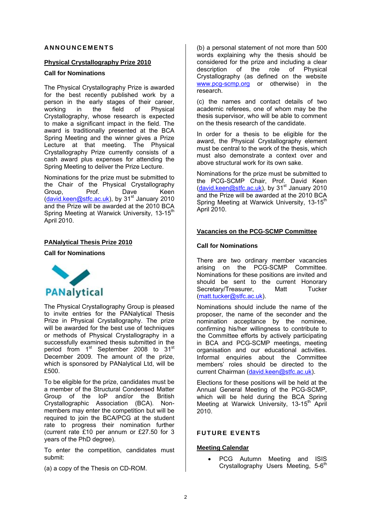#### **ANNOUNCEMENTS**

#### **Physical Crystallography Prize 2010**

### **Call for Nominations**

The Physical Crystallography Prize is awarded for the best recently published work by a person in the early stages of their career,<br>working in the field of Physical in the field of Physical Crystallography, whose research is expected to make a significant impact in the field. The award is traditionally presented at the BCA Spring Meeting and the winner gives a Prize Lecture at that meeting. The Physical Crystallography Prize currently consists of a cash award plus expenses for attending the Spring Meeting to deliver the Prize Lecture.

Nominations for the prize must be submitted to the Chair of the Physical Crystallography<br>Group, Prof. Dave Keen Group, Prof. Dave Keen (david.keen@stfc.ac.uk), by 31<sup>st</sup> January 2010 and the Prize will be awarded at the 2010 BCA Spring Meeting at Warwick University, 13-15<sup>th</sup> April 2010.

# **PANalytical Thesis Prize 2010**

#### **Call for Nominations**



The Physical Crystallography Group is pleased to invite entries for the PANalytical Thesis Prize in Physical Crystallography. The prize will be awarded for the best use of techniques or methods of Physical Crystallography in a successfully examined thesis submitted in the period from 1<sup>st</sup> September 2008 to 31<sup>st</sup> December 2009. The amount of the prize, which is sponsored by PANalytical Ltd, will be £500.

To be eligible for the prize, candidates must be a member of the Structural Condensed Matter Group of the IoP and/or the British Crystallographic Association (BCA). Nonmembers may enter the competition but will be required to join the BCA/PCG at the student rate to progress their nomination further (current rate £10 per annum or £27.50 for 3 years of the PhD degree).

To enter the competition, candidates must submit:

(a) a copy of the Thesis on CD-ROM.

(b) a personal statement of not more than 500 words explaining why the thesis should be considered for the prize and including a clear description of the role of Physical Crystallography (as defined on the website www.pcg-scmp.org or otherwise) in the research.

(c) the names and contact details of two academic referees, one of whom may be the thesis supervisor, who will be able to comment on the thesis research of the candidate.

In order for a thesis to be eligible for the award, the Physical Crystallography element must be central to the work of the thesis, which must also demonstrate a context over and above structural work for its own sake.

Nominations for the prize must be submitted to the PCG-SCMP Chair, Prof. David Keen (david.keen@stfc.ac.uk), by 31st January 2010 and the Prize will be awarded at the 2010 BCA Spring Meeting at Warwick University, 13-15<sup>th</sup> April 2010.

#### **Vacancies on the PCG-SCMP Committee**

#### **Call for Nominations**

There are two ordinary member vacancies arising on the PCG-SCMP Committee. Nominations for these positions are invited and should be sent to the current Honorary Secretary/Treasurer. Matt Tucker (matt.tucker@stfc.ac.uk).

Nominations should include the name of the proposer, the name of the seconder and the nomination acceptance by the nominee, confirming his/her willingness to contribute to the Committee efforts by actively participating in BCA and PCG-SCMP meetings, meeting organisation and our educational activities. Informal enquiries about the Committee members' roles should be directed to the current Chairman (david.keen@stfc.ac.uk).

Elections for these positions will be held at the Annual General Meeting of the PCG-SCMP, which will be held during the BCA Spring Meeting at Warwick University, 13-15<sup>th</sup> April 2010.

# **FUTURE EVENTS**

### **Meeting Calendar**

PCG Autumn Meeting and ISIS Crystallography Users Meeting, 5-6<sup>th</sup>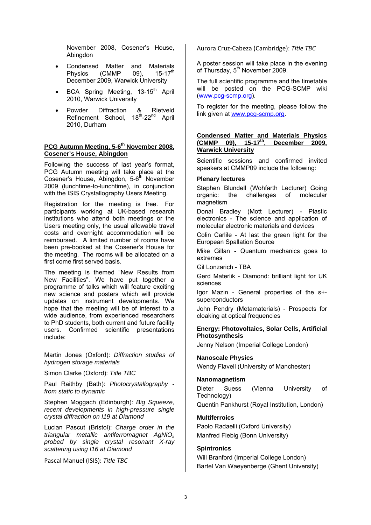November 2008, Cosener's House, Abingdon

- Condensed Matter and Materials Physics (CMMP 09),  $15-17^{\text{th}}$ December 2009, Warwick University
- BCA Spring Meeting, 13-15<sup>th</sup> April 2010, Warwick University
- Powder Diffraction & Rietveld Refinement School, 18<sup>th</sup>-22<sup>nd</sup> April 2010, Durham

#### PCG Autumn Meeting, 5-6<sup>th</sup> November 2008, **Cosener's House, Abingdon**

Following the success of last year's format, PCG Autumn meeting will take place at the Cosener's House, Abingdon, 5-6<sup>th</sup> November 2009 (lunchtime-to-lunchtime), in conjunction with the ISIS Crystallography Users Meeting.

Registration for the meeting is free. For participants working at UK-based research institutions who attend both meetings or the Users meeting only, the usual allowable travel costs and overnight accommodation will be reimbursed. A limited number of rooms have been pre-booked at the Cosener's House for the meeting. The rooms will be allocated on a first come first served basis.

The meeting is themed "New Results from New Facilities". We have put together a programme of talks which will feature exciting new science and posters which will provide updates on instrument developments. We hope that the meeting will be of interest to a wide audience, from experienced researchers to PhD students, both current and future facility users. Confirmed scientific presentations include:

Martin Jones (Oxford): *Diffraction studies of hydrogen storage materials*

Simon Clarke (Oxford): *Title TBC* 

Paul Raithby (Bath): *Photocrystallography from static to dynamic* 

Stephen Moggach (Edinburgh): *Big Squeeze, recent developments in high-pressure single crystal diffraction on I19 at Diamond* 

Lucian Pascut (Bristol): *Charge order in the triangular metallic antiferromagnet AgNiO2 probed by single crystal resonant X-ray scattering using I16 at Diamond* 

Pascal Manuel (ISIS): *Title TBC*

Aurora Cruz‐Cabeza (Cambridge): *Title TBC*

A poster session will take place in the evening of Thursday, 5<sup>th</sup> November 2009.

The full scientific programme and the timetable will be posted on the PCG-SCMP wiki (www.pcg-scmp.org).

To register for the meeting, please follow the link given at www.pcg-scmp.org.

#### **Condensed Matter and Materials Physics (CMMP 09), 15-17th, December 2009, Warwick University**

Scientific sessions and confirmed invited speakers at CMMP09 include the following:

#### **Plenary lectures**

Stephen Blundell (Wohfarth Lecturer) Going organic: the challenges of molecular magnetism

Donal Bradley (Mott Lecturer) - Plastic electronics - The science and application of molecular electronic materials and devices

Colin Carlile - At last the green light for the European Spallation Source

Mike Gillan - Quantum mechanics goes to extremes

Gil Lonzarich - TBA

Gerd Materlik - Diamond: brilliant light for UK sciences

Igor Mazin - General properties of the s+ superconductors

John Pendry (Metamaterials) - Prospects for cloaking at optical frequencies

### **Energy: Photovoltaics, Solar Cells, Artificial Photosynthesis**

Jenny Nelson (Imperial College London)

### **Nanoscale Physics**

Wendy Flavell (University of Manchester)

#### **Nanomagnetism**

Dieter Suess (Vienna University of Technology) Quentin Pankhurst (Royal Institution, London)

### **Multiferroics**

Paolo Radaelli (Oxford University) Manfred Fiebig (Bonn University)

### **Spintronics**

Will Branford (Imperial College London) Bartel Van Waeyenberge (Ghent University)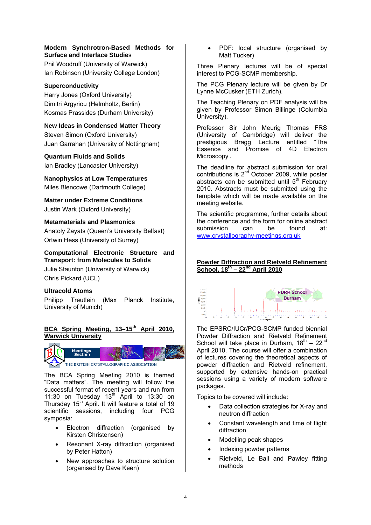### **Modern Synchrotron-Based Methods for Surface and Interface Studie**s

Phil Woodruff (University of Warwick) Ian Robinson (University College London)

# **Superconductivity**

Harry Jones (Oxford University) Dimitri Argyriou (Helmholtz, Berlin) Kosmas Prassides (Durham University)

## **New Ideas in Condensed Matter Theory**

Steven Simon (Oxford University) Juan Garrahan (University of Nottingham)

# **Quantum Fluids and Solids**

Ian Bradley (Lancaster University)

**Nanophysics at Low Temperatures**  Miles Blencowe (Dartmouth College)

**Matter under Extreme Conditions**  Justin Wark (Oxford University)

# **Metamaterials and Plasmonics**

Anatoly Zayats (Queen's University Belfast) Ortwin Hess (University of Surrey)

# **Computational Electronic Structure and Transport: from Molecules to Solids**

Julie Staunton (University of Warwick) Chris Pickard (UCL)

# **Ultracold Atoms**

Philipp Treutlein (Max Planck Institute, University of Munich)

# BCA Spring Meeting, 13-15<sup>th</sup> April 2010. **Warwick University**



The BCA Spring Meeting 2010 is themed "Data matters". The meeting will follow the successful format of recent years and run from 11:30 on Tuesday  $13<sup>th</sup>$  April to 13:30 on Thursday  $15<sup>th</sup>$  April. It will feature a total of 19 scientific sessions, including four PCG symposia:

- Electron diffraction (organised by Kirsten Christensen)
- Resonant X-ray diffraction (organised by Peter Hatton)
- New approaches to structure solution (organised by Dave Keen)

• PDF: local structure (organised by Matt Tucker)

Three Plenary lectures will be of special interest to PCG-SCMP membership.

The PCG Plenary lecture will be given by Dr Lynne McCusker (ETH Zurich).

The Teaching Plenary on PDF analysis will be given by Professor Simon Billinge (Columbia University).

Professor Sir John Meurig Thomas FRS (University of Cambridge) will deliver the prestigious Bragg Lecture entitled "The Essence and Promise of 4D Electron Microscopy'.

The deadline for abstract submission for oral contributions is  $2^{nd}$  October 2009, while poster abstracts can be submitted until 5<sup>th</sup> February 2010. Abstracts must be submitted using the template which will be made available on the meeting website.

The scientific programme, further details about the conference and the form for online abstract<br>submission can be found at submission can be found at: www.crystallography-meetings.org.uk

### **Powder Diffraction and Rietveld Refinement School, 18th – 22nd April 2010**



The EPSRC/IUCr/PCG-SCMP funded biennial Powder Diffraction and Rietveld Refinement School will take place in Durham,  $18^{th} - 22^{nd}$ April 2010. The course will offer a combination of lectures covering the theoretical aspects of powder diffraction and Rietveld refinement, supported by extensive hands-on practical sessions using a variety of modern software packages.

Topics to be covered will include:

- Data collection strategies for X-ray and neutron diffraction
- Constant wavelength and time of flight diffraction
- Modelling peak shapes
- Indexing powder patterns
- Rietveld, Le Bail and Pawley fitting methods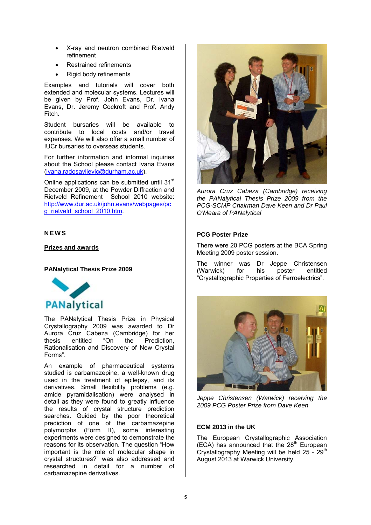- X-ray and neutron combined Rietveld refinement
- Restrained refinements
- Rigid body refinements

Examples and tutorials will cover both extended and molecular systems. Lectures will be given by Prof. John Evans, Dr. Ivana Evans, Dr. Jeremy Cockroft and Prof. Andy Fitch.

Student bursaries will be available to contribute to local costs and/or travel expenses. We will also offer a small number of IUCr bursaries to overseas students.

For further information and informal inquiries about the School please contact Ivana Evans (ivana.radosavljevic@durham.ac.uk).

Online applications can be submitted until 31<sup>st</sup> December 2009, at the Powder Diffraction and Rietveld Refinement School 2010 website: http://www.dur.ac.uk/john.evans/webpages/pc g\_rietveld\_school\_2010.htm

# **NEWS**

**Prizes and awards**

### **PANalytical Thesis Prize 2009**



The PANalytical Thesis Prize in Physical Crystallography 2009 was awarded to Dr Aurora Cruz Cabeza (Cambridge) for her<br>thesis entitled "On the Prediction, thesis entitled "On the Prediction, Rationalisation and Discovery of New Crystal Forms".

An example of pharmaceutical systems studied is carbamazepine, a well-known drug used in the treatment of epilepsy, and its derivatives. Small flexibility problems (e.g. amide pyramidalisation) were analysed in detail as they were found to greatly influence the results of crystal structure prediction searches. Guided by the poor theoretical prediction of one of the carbamazepine polymorphs (Form II), some interesting experiments were designed to demonstrate the reasons for its observation. The question "How important is the role of molecular shape in crystal structures?" was also addressed and researched in detail for a number of carbamazepine derivatives.



*Aurora Cruz Cabeza (Cambridge) receiving the PANalytical Thesis Prize 2009 from the PCG-SCMP Chairman Dave Keen and Dr Paul O'Meara of PANalytical* 

### **PCG Poster Prize**

There were 20 PCG posters at the BCA Spring Meeting 2009 poster session.

The winner was Dr Jeppe Christensen (Warwick) for his poster entitled "Crystallographic Properties of Ferroelectrics".



*Jeppe Christensen (Warwick) receiving the 2009 PCG Poster Prize from Dave Keen* 

### **ECM 2013 in the UK**

The European Crystallographic Association  $(ECA)$  has announced that the  $28<sup>th</sup>$  European Crystallography Meeting will be held  $25 - 29$ <sup>th</sup> August 2013 at Warwick University.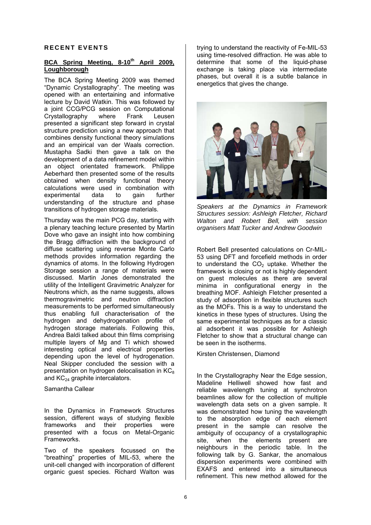#### **RECENT EVENTS**

### BCA Spring Meeting, 8-10<sup>th</sup> April 2009. **Loughborough**

The BCA Spring Meeting 2009 was themed "Dynamic Crystallography". The meeting was opened with an entertaining and informative lecture by David Watkin. This was followed by a joint CCG/PCG session on Computational Crystallography where Frank Leusen presented a significant step forward in crystal structure prediction using a new approach that combines density functional theory simulations and an empirical van der Waals correction. Mustapha Sadki then gave a talk on the development of a data refinement model within an object orientated framework. Philippe Aeberhard then presented some of the results obtained when density functional theory calculations were used in combination with experimental data to gain further understanding of the structure and phase transitions of hydrogen storage materials.

Thursday was the main PCG day, starting with a plenary teaching lecture presented by Martin Dove who gave an insight into how combining the Bragg diffraction with the background of diffuse scattering using reverse Monte Carlo methods provides information regarding the dynamics of atoms. In the following Hydrogen Storage session a range of materials were discussed. Martin Jones demonstrated the utility of the Intelligent Gravimetric Analyzer for Neutrons which, as the name suggests, allows thermogravimetric and neutron diffraction measurements to be performed simultaneously thus enabling full characterisation of the hydrogen and dehydrogenation profile of hydrogen storage materials. Following this, Andrea Baldi talked about thin films comprising multiple layers of Mg and Ti which showed interesting optical and electrical properties depending upon the level of hydrogenation. Neal Skipper concluded the session with a presentation on hydrogen delocalisation in  $KC<sub>8</sub>$ and KC<sub>24</sub> graphite intercalators.

Samantha Callear

In the Dynamics in Framework Structures session, different ways of studying flexible frameworks and their properties were presented with a focus on Metal-Organic Frameworks.

Two of the speakers focussed on the "breathing" properties of MIL-53, where the unit-cell changed with incorporation of different organic guest species. Richard Walton was

trying to understand the reactivity of Fe-MIL-53 using time-resolved diffraction. He was able to determine that some of the liquid-phase exchange is taking place via intermediate phases, but overall it is a subtle balance in energetics that gives the change.



*Speakers at the Dynamics in Framework Structures session: Ashleigh Fletcher, Richard Walton and Robert Bell, with session organisers Matt Tucker and Andrew Goodwin* 

Robert Bell presented calculations on Cr-MIL-53 using DFT and forcefield methods in order to understand the  $CO<sub>2</sub>$  uptake. Whether the framework is closing or not is highly dependent on guest molecules as there are several minima in configurational energy in the breathing MOF. Ashleigh Fletcher presented a study of adsorption in flexible structures such as the MOFs. This is a way to understand the kinetics in these types of structures. Using the same experimental techniques as for a classic al adsorbent it was possible for Ashleigh Fletcher to show that a structural change can be seen in the isotherms.

Kirsten Christensen, Diamond

In the Crystallography Near the Edge session, Madeline Helliwell showed how fast and reliable wavelength tuning at synchrotron beamlines allow for the collection of multiple wavelength data sets on a given sample. It was demonstrated how tuning the wavelength to the absorption edge of each element present in the sample can resolve the ambiguity of occupancy of a crystallographic site, when the elements present are neighbours in the periodic table. In the following talk by G. Sankar, the anomalous dispersion experiments were combined with EXAFS and entered into a simultaneous refinement. This new method allowed for the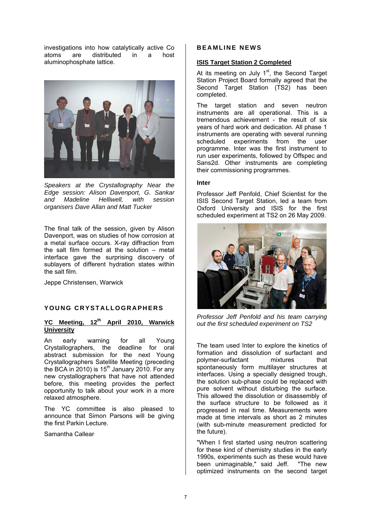investigations into how catalytically active Co atoms are distributed in a host aluminophosphate lattice.



*Speakers at the Crystallography Near the Edge session: Alison Davenport, G. Sankar and Madeline Helliwell, with session organisers Dave Allan and Matt Tucker* 

The final talk of the session, given by Alison Davenport, was on studies of how corrosion at a metal surface occurs. X-ray diffraction from the salt film formed at the solution – metal interface gave the surprising discovery of sublayers of different hydration states within the salt film.

Jeppe Christensen, Warwick

### **YOUNG CRYSTALLOGRAPHERS**

# YC Meeting, 12<sup>th</sup> April 2010, Warwick **University**

An early warning for all Young Crystallographers, the deadline for oral abstract submission for the next Young Crystallographers Satellite Meeting (preceding the BCA in 2010) is 15<sup>th</sup> January 2010. For any new crystallographers that have not attended before, this meeting provides the perfect opportunity to talk about your work in a more relaxed atmosphere.

The YC committee is also pleased to announce that Simon Parsons will be giving the first Parkin Lecture.

Samantha Callear

#### **BEAMLINE NEWS**

#### **ISIS Target Station 2 Completed**

At its meeting on July  $1<sup>st</sup>$ , the Second Target Station Project Board formally agreed that the Second Target Station (TS2) has been completed.

The target station and seven neutron instruments are all operational. This is a tremendous achievement - the result of six years of hard work and dedication. All phase 1 instruments are operating with several running scheduled experiments from the user programme. Inter was the first instrument to run user experiments, followed by Offspec and Sans2d. Other instruments are completing their commissioning programmes.

#### **Inter**

Professor Jeff Penfold, Chief Scientist for the ISIS Second Target Station, led a team from Oxford University and ISIS for the first scheduled experiment at TS2 on 26 May 2009.



*Professor Jeff Penfold and his team carrying out the first scheduled experiment on TS2* 

The team used Inter to explore the kinetics of formation and dissolution of surfactant and polymer-surfactant mixtures that spontaneously form multilayer structures at interfaces. Using a specially designed trough, the solution sub-phase could be replaced with pure solvent without disturbing the surface. This allowed the dissolution or disassembly of the surface structure to be followed as it progressed in real time. Measurements were made at time intervals as short as 2 minutes (with sub-minute measurement predicted for the future).

"When I first started using neutron scattering for these kind of chemistry studies in the early 1990s, experiments such as these would have been unimaginable," said Jeff. "The new optimized instruments on the second target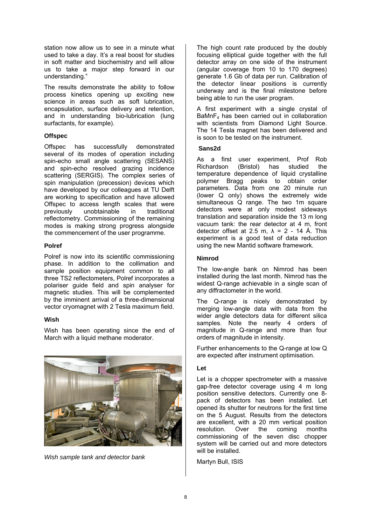station now allow us to see in a minute what used to take a day. It's a real boost for studies in soft matter and biochemistry and will allow us to take a major step forward in our understanding."

The results demonstrate the ability to follow process kinetics opening up exciting new science in areas such as soft lubrication, encapsulation, surface delivery and retention, and in understanding bio-lubrication (lung surfactants, for example).

### **Offspec**

Offspec has successfully demonstrated several of its modes of operation including spin-echo small angle scattering (SESANS) and spin-echo resolved grazing incidence scattering (SERGIS). The complex series of spin manipulation (precession) devices which have developed by our colleagues at TU Delft are working to specification and have allowed Offspec to access length scales that were previously unobtainable in traditional reflectometry. Commissioning of the remaining modes is making strong progress alongside the commencement of the user programme.

#### **Polref**

Polref is now into its scientific commissioning phase. In addition to the collimation and sample position equipment common to all three TS2 reflectometers, Polref incorporates a polariser guide field and spin analyser for magnetic studies. This will be complemented by the imminent arrival of a three-dimensional vector cryomagnet with 2 Tesla maximum field.

#### **Wish**

Wish has been operating since the end of March with a liquid methane moderator.



*Wish sample tank and detector bank* 

The high count rate produced by the doubly focusing elliptical guide together with the full detector array on one side of the instrument (angular coverage from 10 to 170 degrees) generate 1.6 Gb of data per run. Calibration of the detector linear positions is currently underway and is the final milestone before being able to run the user program.

A first experiment with a single crystal of  $BaMnF<sub>4</sub>$  has been carried out in collaboration with scientists from Diamond Light Source. The 14 Tesla magnet has been delivered and is soon to be tested on the instrument.

#### **Sans2d**

As a first user experiment, Prof Rob Richardson (Bristol) has studied the temperature dependence of liquid crystalline polymer Bragg peaks to obtain order parameters. Data from one 20 minute run (lower Q only) shows the extremely wide  $\sin$ ultaneous  $\alpha$  range. The two 1m square detectors were at only modest sideways translation and separation inside the 13 m long vacuum tank: the rear detector at 4 m, front detector offset at 2.5 m,  $\lambda$  = 2 - 14 Å. This experiment is a good test of data reduction using the new Mantid software framework.

#### **Nimrod**

The low-angle bank on Nimrod has been installed during the last month. Nimrod has the widest Q-range achievable in a single scan of any diffractometer in the world.

The Q-range is nicely demonstrated by merging low-angle data with data from the wider angle detectors data for different silica samples. Note the nearly 4 orders of magnitude in Q-range and more than four orders of magnitude in intensity.

Further enhancements to the Q-range at low Q are expected after instrument optimisation.

#### **Let**

Let is a chopper spectrometer with a massive gap-free detector coverage using 4 m long position sensitive detectors. Currently one 8 pack of detectors has been installed. Let opened its shutter for neutrons for the first time on the 5 August. Results from the detectors are excellent, with a 20 mm vertical position resolution. Over the coming months commissioning of the seven disc chopper system will be carried out and more detectors will be installed.

Martyn Bull, ISIS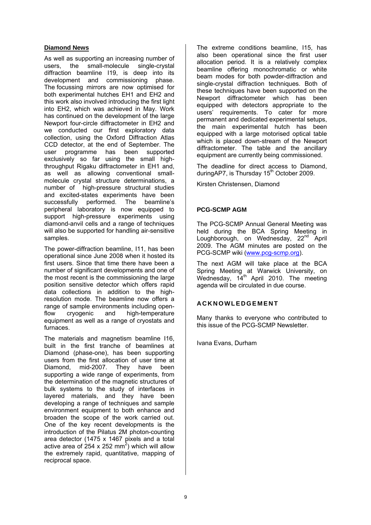# **Diamond News**

As well as supporting an increasing number of users, the small-molecule single-crystal diffraction beamline I19, is deep into its development and commissioning phase. The focussing mirrors are now optimised for both experimental hutches EH1 and EH2 and this work also involved introducing the first light into EH2, which was achieved in May. Work has continued on the development of the large Newport four-circle diffractometer in EH2 and we conducted our first exploratory data collection, using the Oxford Diffraction Atlas CCD detector, at the end of September. The user programme has been supported exclusively so far using the small highthroughput Rigaku diffractometer in EH1 and, as well as allowing conventional smallmolecule crystal structure determinations, a number of high-pressure structural studies and excited-states experiments have been successfully performed. The beamline's peripheral laboratory is now equipped to support high-pressure experiments using diamond-anvil cells and a range of techniques will also be supported for handling air-sensitive samples.

The power-diffraction beamline, I11, has been operational since June 2008 when it hosted its first users. Since that time there have been a number of significant developments and one of the most recent is the commissioning the large position sensitive detector which offers rapid data collections in addition to the highresolution mode. The beamline now offers a range of sample environments including openflow cryogenic and high-temperature equipment as well as a range of cryostats and furnaces.

The materials and magnetism beamline I16, built in the first tranche of beamlines at Diamond (phase-one), has been supporting users from the first allocation of user time at Diamond, mid-2007. They have been supporting a wide range of experiments, from the determination of the magnetic structures of bulk systems to the study of interfaces in layered materials, and they have been developing a range of techniques and sample environment equipment to both enhance and broaden the scope of the work carried out. One of the key recent developments is the introduction of the Pilatus 2M photon-counting area detector (1475 x 1467 pixels and a total active area of 254 x 252 mm<sup>2</sup>) which will allow the extremely rapid, quantitative, mapping of reciprocal space.

The extreme conditions beamline, I15, has also been operational since the first user allocation period. It is a relatively complex beamline offering monochromatic or white beam modes for both powder-diffraction and single-crystal diffraction techniques. Both of these techniques have been supported on the Newport diffractometer which has been equipped with detectors appropriate to the users' requirements. To cater for more permanent and dedicated experimental setups, the main experimental hutch has been equipped with a large motorised optical table which is placed down-stream of the Newport diffractometer. The table and the ancillary equipment are currently being commissioned.

The deadline for direct access to Diamond, duringAP7, is Thursday  $15<sup>th</sup>$  October 2009.

Kirsten Christensen, Diamond

### **PCG-SCMP AGM**

The PCG-SCMP Annual General Meeting was held during the BCA Spring Meeting in Loughborough, on Wednesday, 22<sup>nd</sup> April 2009. The AGM minutes are posted on the PCG-SCMP wiki (www.pcg-scmp.org).

The next AGM will take place at the BCA Spring Meeting at Warwick University, on Wednesday, 14th April 2010. The meeting agenda will be circulated in due course.

# **ACKNOWLEDGEMENT**

Many thanks to everyone who contributed to this issue of the PCG-SCMP Newsletter.

Ivana Evans, Durham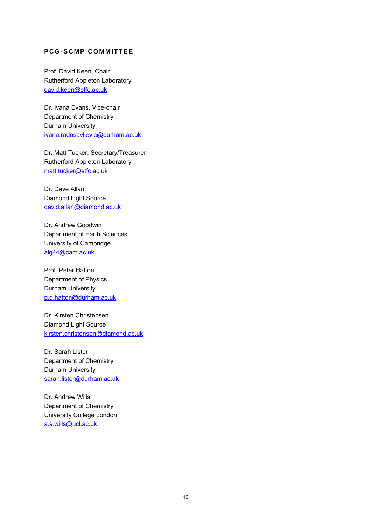# **PCG-SCMP COMMITTEE**

Prof. David Keen, Chair Rutherford Appleton Laboratory david.keen@stfc.ac.uk

Dr. Ivana Evans, Vice-chair Department of Chemistry Durham University ivana.radosavljevic@durham.ac.uk

Dr. Matt Tucker, Secretary/Treasurer Rutherford Appleton Laboratory matt.tucker@stfc.ac.uk

Dr. Dave Allan Diamond Light Source david.allan@diamond.ac.uk

Dr. Andrew Goodwin Department of Earth Sciences University of Cambridge alg44@cam.ac.uk

Prof. Peter Hatton Department of Physics Durham University p.d.hatton@durham.ac.uk

Dr. Kirsten Christensen Diamond Light Source kirsten.christensen@diamond.ac.uk

Dr. Sarah Lister Department of Chemistry Durham University sarah.lister@durham.ac.uk

Dr. Andrew Wills Department of Chemistry University College London a.s.wills@ucl.ac.uk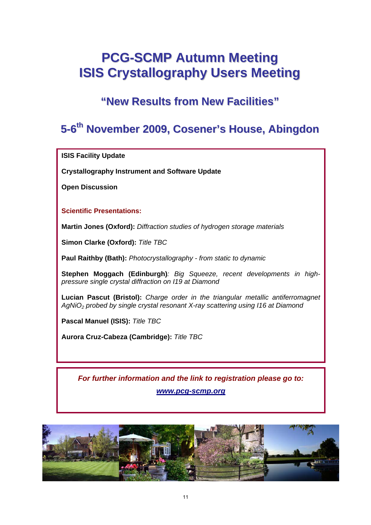# **PCG-SCMP Autumn Meeting ISIS Crystallography Users Meeting**

**"New Results from New Facilities"**

# **5-6th November 2009,Cosener'sHouse, Abingdon**

**ISIS Facility Update** 

**Crystallography Instrument and Software Update** 

**Open Discussion** 

# **Scientific Presentations:**

**Martin Jones (Oxford):** *Diffraction studies of hydrogen storage materials*

**Simon Clarke (Oxford):** *Title TBC* 

**Paul Raithby (Bath):** *Photocrystallography - from static to dynamic* 

**Stephen Moggach (Edinburgh)***: Big Squeeze, recent developments in highpressure single crystal diffraction on I19 at Diamond* 

**Lucian Pascut (Bristol):** *Charge order in the triangular metallic antiferromagnet AgNiO2 probed by single crystal resonant X-ray scattering using I16 at Diamond* 

**Pascal Manuel (ISIS):** *Title TBC*

**Aurora Cruz-Cabeza (Cambridge):** *Title TBC*

*For further information and the link to registration please go to: www.pcg-scmp.org*